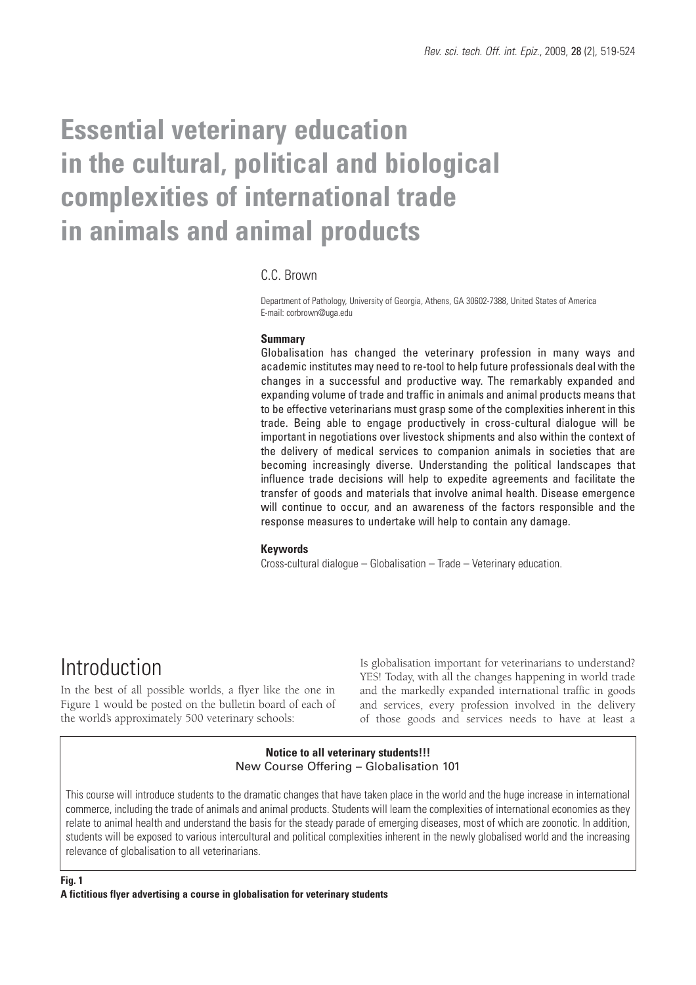# **Essential veterinary education in the cultural, political and biological complexities of international trade in animals and animal products**

### C.C. Brown

Department of Pathology, University of Georgia, Athens, GA 30602-7388, United States of America E-mail: corbrown@uga.edu

### **Summary**

Globalisation has changed the veterinary profession in many ways and academic institutes may need to re-tool to help future professionals deal with the changes in a successful and productive way. The remarkably expanded and expanding volume of trade and traffic in animals and animal products means that to be effective veterinarians must grasp some of the complexities inherent in this trade. Being able to engage productively in cross-cultural dialogue will be important in negotiations over livestock shipments and also within the context of the delivery of medical services to companion animals in societies that are becoming increasingly diverse. Understanding the political landscapes that influence trade decisions will help to expedite agreements and facilitate the transfer of goods and materials that involve animal health. Disease emergence will continue to occur, and an awareness of the factors responsible and the response measures to undertake will help to contain any damage.

#### **Keywords**

Cross-cultural dialogue – Globalisation – Trade – Veterinary education.

# Introduction

In the best of all possible worlds, a flyer like the one in Figure 1 would be posted on the bulletin board of each of the world's approximately 500 veterinary schools:

Is globalisation important for veterinarians to understand? YES! Today, with all the changes happening in world trade and the markedly expanded international traffic in goods and services, every profession involved in the delivery of those goods and services needs to have at least a

### **Notice to all veterinary students!!!** New Course Offering – Globalisation 101

This course will introduce students to the dramatic changes that have taken place in the world and the huge increase in international commerce, including the trade of animals and animal products. Students will learn the complexities of international economies as they relate to animal health and understand the basis for the steady parade of emerging diseases, most of which are zoonotic. In addition, students will be exposed to various intercultural and political complexities inherent in the newly globalised world and the increasing relevance of globalisation to all veterinarians.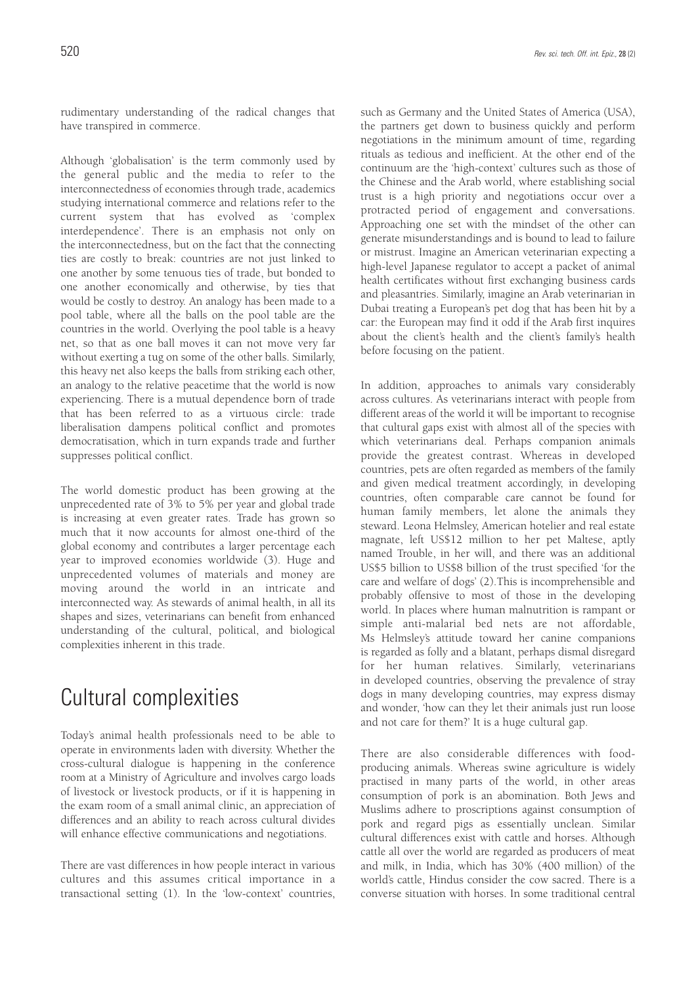rudimentary understanding of the radical changes that have transpired in commerce.

Although 'globalisation' is the term commonly used by the general public and the media to refer to the interconnectedness of economies through trade, academics studying international commerce and relations refer to the current system that has evolved as 'complex interdependence'. There is an emphasis not only on the interconnectedness, but on the fact that the connecting ties are costly to break: countries are not just linked to one another by some tenuous ties of trade, but bonded to one another economically and otherwise, by ties that would be costly to destroy. An analogy has been made to a pool table, where all the balls on the pool table are the countries in the world. Overlying the pool table is a heavy net, so that as one ball moves it can not move very far without exerting a tug on some of the other balls. Similarly, this heavy net also keeps the balls from striking each other, an analogy to the relative peacetime that the world is now experiencing. There is a mutual dependence born of trade that has been referred to as a virtuous circle: trade liberalisation dampens political conflict and promotes democratisation, which in turn expands trade and further suppresses political conflict.

The world domestic product has been growing at the unprecedented rate of 3% to 5% per year and global trade is increasing at even greater rates. Trade has grown so much that it now accounts for almost one-third of the global economy and contributes a larger percentage each year to improved economies worldwide (3). Huge and unprecedented volumes of materials and money are moving around the world in an intricate and interconnected way. As stewards of animal health, in all its shapes and sizes, veterinarians can benefit from enhanced understanding of the cultural, political, and biological complexities inherent in this trade.

# Cultural complexities

Today's animal health professionals need to be able to operate in environments laden with diversity. Whether the cross-cultural dialogue is happening in the conference room at a Ministry of Agriculture and involves cargo loads of livestock or livestock products, or if it is happening in the exam room of a small animal clinic, an appreciation of differences and an ability to reach across cultural divides will enhance effective communications and negotiations.

There are vast differences in how people interact in various cultures and this assumes critical importance in a transactional setting (1). In the 'low-context' countries, such as Germany and the United States of America (USA), the partners get down to business quickly and perform negotiations in the minimum amount of time, regarding rituals as tedious and inefficient. At the other end of the continuum are the 'high-context' cultures such as those of the Chinese and the Arab world, where establishing social trust is a high priority and negotiations occur over a protracted period of engagement and conversations. Approaching one set with the mindset of the other can generate misunderstandings and is bound to lead to failure or mistrust. Imagine an American veterinarian expecting a high-level Japanese regulator to accept a packet of animal health certificates without first exchanging business cards and pleasantries. Similarly, imagine an Arab veterinarian in Dubai treating a European's pet dog that has been hit by a car: the European may find it odd if the Arab first inquires about the client's health and the client's family's health before focusing on the patient.

In addition, approaches to animals vary considerably across cultures. As veterinarians interact with people from different areas of the world it will be important to recognise that cultural gaps exist with almost all of the species with which veterinarians deal. Perhaps companion animals provide the greatest contrast. Whereas in developed countries, pets are often regarded as members of the family and given medical treatment accordingly, in developing countries, often comparable care cannot be found for human family members, let alone the animals they steward. Leona Helmsley, American hotelier and real estate magnate, left US\$12 million to her pet Maltese, aptly named Trouble, in her will, and there was an additional US\$5 billion to US\$8 billion of the trust specified 'for the care and welfare of dogs' (2).This is incomprehensible and probably offensive to most of those in the developing world. In places where human malnutrition is rampant or simple anti-malarial bed nets are not affordable, Ms Helmsley's attitude toward her canine companions is regarded as folly and a blatant, perhaps dismal disregard for her human relatives. Similarly, veterinarians in developed countries, observing the prevalence of stray dogs in many developing countries, may express dismay and wonder, 'how can they let their animals just run loose and not care for them?' It is a huge cultural gap.

There are also considerable differences with foodproducing animals. Whereas swine agriculture is widely practised in many parts of the world, in other areas consumption of pork is an abomination. Both Jews and Muslims adhere to proscriptions against consumption of pork and regard pigs as essentially unclean. Similar cultural differences exist with cattle and horses. Although cattle all over the world are regarded as producers of meat and milk, in India, which has 30% (400 million) of the world's cattle, Hindus consider the cow sacred. There is a converse situation with horses. In some traditional central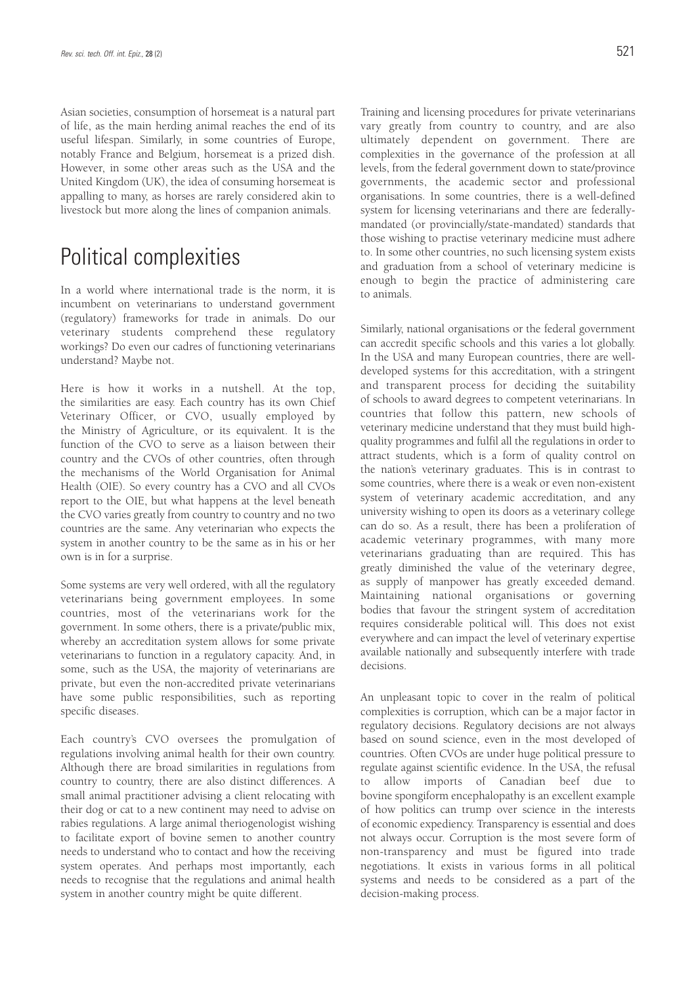Asian societies, consumption of horsemeat is a natural part of life, as the main herding animal reaches the end of its useful lifespan. Similarly, in some countries of Europe, notably France and Belgium, horsemeat is a prized dish. However, in some other areas such as the USA and the United Kingdom (UK), the idea of consuming horsemeat is appalling to many, as horses are rarely considered akin to livestock but more along the lines of companion animals.

## Political complexities

In a world where international trade is the norm, it is incumbent on veterinarians to understand government (regulatory) frameworks for trade in animals. Do our veterinary students comprehend these regulatory workings? Do even our cadres of functioning veterinarians understand? Maybe not.

Here is how it works in a nutshell. At the top, the similarities are easy. Each country has its own Chief Veterinary Officer, or CVO, usually employed by the Ministry of Agriculture, or its equivalent. It is the function of the CVO to serve as a liaison between their country and the CVOs of other countries, often through the mechanisms of the World Organisation for Animal Health (OIE). So every country has a CVO and all CVOs report to the OIE, but what happens at the level beneath the CVO varies greatly from country to country and no two countries are the same. Any veterinarian who expects the system in another country to be the same as in his or her own is in for a surprise.

Some systems are very well ordered, with all the regulatory veterinarians being government employees. In some countries, most of the veterinarians work for the government. In some others, there is a private/public mix, whereby an accreditation system allows for some private veterinarians to function in a regulatory capacity. And, in some, such as the USA, the majority of veterinarians are private, but even the non-accredited private veterinarians have some public responsibilities, such as reporting specific diseases.

Each country's CVO oversees the promulgation of regulations involving animal health for their own country. Although there are broad similarities in regulations from country to country, there are also distinct differences. A small animal practitioner advising a client relocating with their dog or cat to a new continent may need to advise on rabies regulations. A large animal theriogenologist wishing to facilitate export of bovine semen to another country needs to understand who to contact and how the receiving system operates. And perhaps most importantly, each needs to recognise that the regulations and animal health system in another country might be quite different.

Training and licensing procedures for private veterinarians vary greatly from country to country, and are also ultimately dependent on government. There are complexities in the governance of the profession at all levels, from the federal government down to state/province governments, the academic sector and professional organisations. In some countries, there is a well-defined system for licensing veterinarians and there are federallymandated (or provincially/state-mandated) standards that those wishing to practise veterinary medicine must adhere to. In some other countries, no such licensing system exists and graduation from a school of veterinary medicine is enough to begin the practice of administering care to animals.

Similarly, national organisations or the federal government can accredit specific schools and this varies a lot globally. In the USA and many European countries, there are welldeveloped systems for this accreditation, with a stringent and transparent process for deciding the suitability of schools to award degrees to competent veterinarians. In countries that follow this pattern, new schools of veterinary medicine understand that they must build highquality programmes and fulfil all the regulations in order to attract students, which is a form of quality control on the nation's veterinary graduates. This is in contrast to some countries, where there is a weak or even non-existent system of veterinary academic accreditation, and any university wishing to open its doors as a veterinary college can do so. As a result, there has been a proliferation of academic veterinary programmes, with many more veterinarians graduating than are required. This has greatly diminished the value of the veterinary degree, as supply of manpower has greatly exceeded demand. Maintaining national organisations or governing bodies that favour the stringent system of accreditation requires considerable political will. This does not exist everywhere and can impact the level of veterinary expertise available nationally and subsequently interfere with trade decisions.

An unpleasant topic to cover in the realm of political complexities is corruption, which can be a major factor in regulatory decisions. Regulatory decisions are not always based on sound science, even in the most developed of countries. Often CVOs are under huge political pressure to regulate against scientific evidence. In the USA, the refusal to allow imports of Canadian beef due to bovine spongiform encephalopathy is an excellent example of how politics can trump over science in the interests of economic expediency. Transparency is essential and does not always occur. Corruption is the most severe form of non-transparency and must be figured into trade negotiations. It exists in various forms in all political systems and needs to be considered as a part of the decision-making process.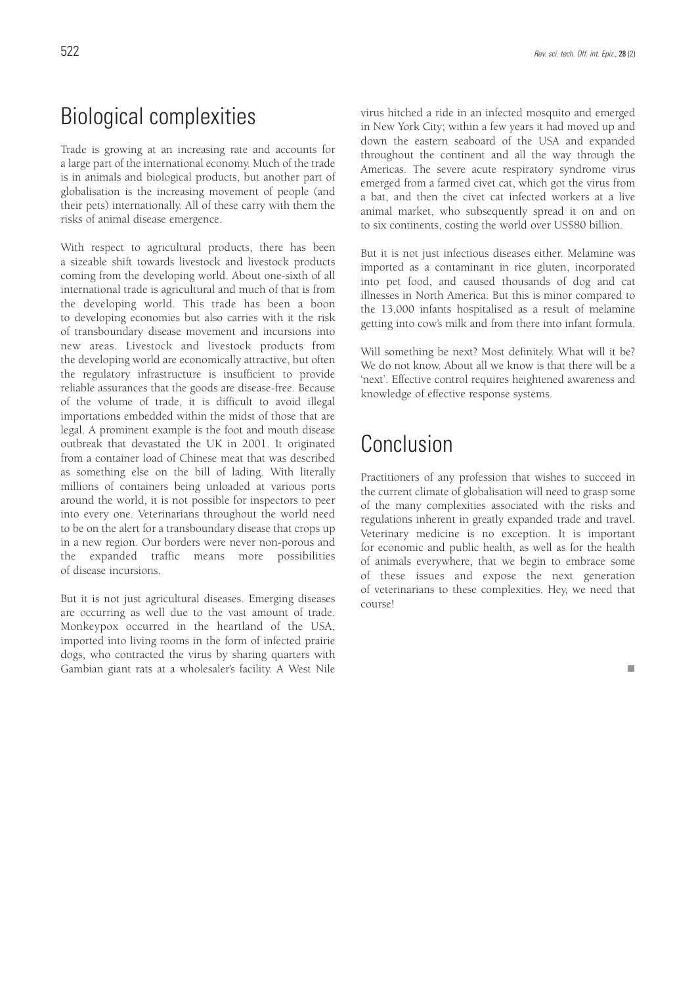# Biological complexities

Trade is growing at an increasing rate and accounts for a large part of the international economy. Much of the trade is in animals and biological products, but another part of globalisation is the increasing movement of people (and their pets) internationally. All of these carry with them the risks of animal disease emergence.

With respect to agricultural products, there has been a sizeable shift towards livestock and livestock products coming from the developing world. About one-sixth of all international trade is agricultural and much of that is from the developing world. This trade has been a boon to developing economies but also carries with it the risk of transboundary disease movement and incursions into new areas. Livestock and livestock products from the developing world are economically attractive, but often the regulatory infrastructure is insufficient to provide reliable assurances that the goods are disease-free. Because of the volume of trade, it is difficult to avoid illegal importations embedded within the midst of those that are legal. A prominent example is the foot and mouth disease outbreak that devastated the UK in 2001. It originated from a container load of Chinese meat that was described as something else on the bill of lading. With literally millions of containers being unloaded at various ports around the world, it is not possible for inspectors to peer into every one. Veterinarians throughout the world need to be on the alert for a transboundary disease that crops up in a new region. Our borders were never non-porous and the expanded traffic means more possibilities of disease incursions.

But it is not just agricultural diseases. Emerging diseases are occurring as well due to the vast amount of trade. Monkeypox occurred in the heartland of the USA, imported into living rooms in the form of infected prairie dogs, who contracted the virus by sharing quarters with Gambian giant rats at a wholesaler's facility. A West Nile virus hitched a ride in an infected mosquito and emerged in New York City; within a few years it had moved up and down the eastern seaboard of the USA and expanded throughout the continent and all the way through the Americas. The severe acute respiratory syndrome virus emerged from a farmed civet cat, which got the virus from a bat, and then the civet cat infected workers at a live animal market, who subsequently spread it on and on to six continents, costing the world over US\$80 billion.

But it is not just infectious diseases either. Melamine was imported as a contaminant in rice gluten, incorporated into pet food, and caused thousands of dog and cat illnesses in North America. But this is minor compared to the 13,000 infants hospitalised as a result of melamine getting into cow's milk and from there into infant formula.

Will something be next? Most definitely. What will it be? We do not know. About all we know is that there will be a 'next'. Effective control requires heightened awareness and knowledge of effective response systems.

# Conclusion

Practitioners of any profession that wishes to succeed in the current climate of globalisation will need to grasp some of the many complexities associated with the risks and regulations inherent in greatly expanded trade and travel. Veterinary medicine is no exception. It is important for economic and public health, as well as for the health of animals everywhere, that we begin to embrace some of these issues and expose the next generation of veterinarians to these complexities. Hey, we need that course!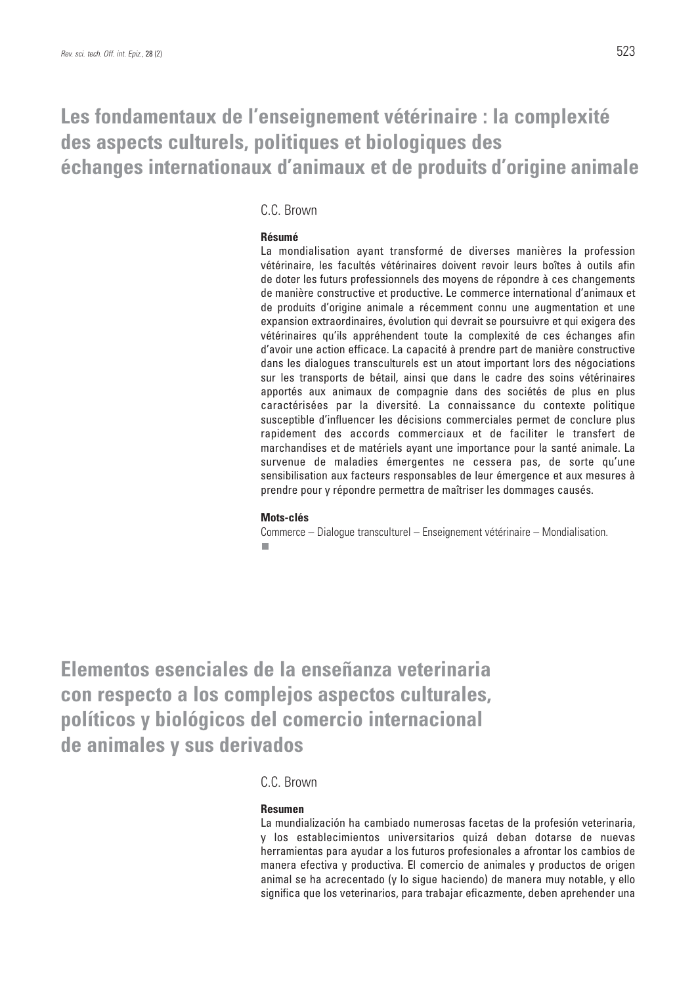## **Les fondamentaux de l'enseignement vétérinaire : la complexité des aspects culturels, politiques et biologiques des échanges internationaux d'animaux et de produits d'origine animale**

### C.C. Brown

### **Résumé**

La mondialisation ayant transformé de diverses manières la profession vétérinaire, les facultés vétérinaires doivent revoir leurs boîtes à outils afin de doter les futurs professionnels des moyens de répondre à ces changements de manière constructive et productive. Le commerce international d'animaux et de produits d'origine animale a récemment connu une augmentation et une expansion extraordinaires, évolution qui devrait se poursuivre et qui exigera des vétérinaires qu'ils appréhendent toute la complexité de ces échanges afin d'avoir une action efficace. La capacité à prendre part de manière constructive dans les dialogues transculturels est un atout important lors des négociations sur les transports de bétail, ainsi que dans le cadre des soins vétérinaires apportés aux animaux de compagnie dans des sociétés de plus en plus caractérisées par la diversité. La connaissance du contexte politique susceptible d'influencer les décisions commerciales permet de conclure plus rapidement des accords commerciaux et de faciliter le transfert de marchandises et de matériels ayant une importance pour la santé animale. La survenue de maladies émergentes ne cessera pas, de sorte qu'une sensibilisation aux facteurs responsables de leur émergence et aux mesures à prendre pour y répondre permettra de maîtriser les dommages causés.

#### **Mots-clés**

Commerce – Dialogue transculturel – Enseignement vétérinaire – Mondialisation. Ī.

**Elementos esenciales de la enseñanza veterinaria con respecto a los complejos aspectos culturales, políticos y biológicos del comercio internacional de animales y sus derivados** 

### C.C. Brown

### **Resumen**

La mundialización ha cambiado numerosas facetas de la profesión veterinaria, y los establecimientos universitarios quizá deban dotarse de nuevas herramientas para ayudar a los futuros profesionales a afrontar los cambios de manera efectiva y productiva. El comercio de animales y productos de origen animal se ha acrecentado (y lo sigue haciendo) de manera muy notable, y ello significa que los veterinarios, para trabajar eficazmente, deben aprehender una